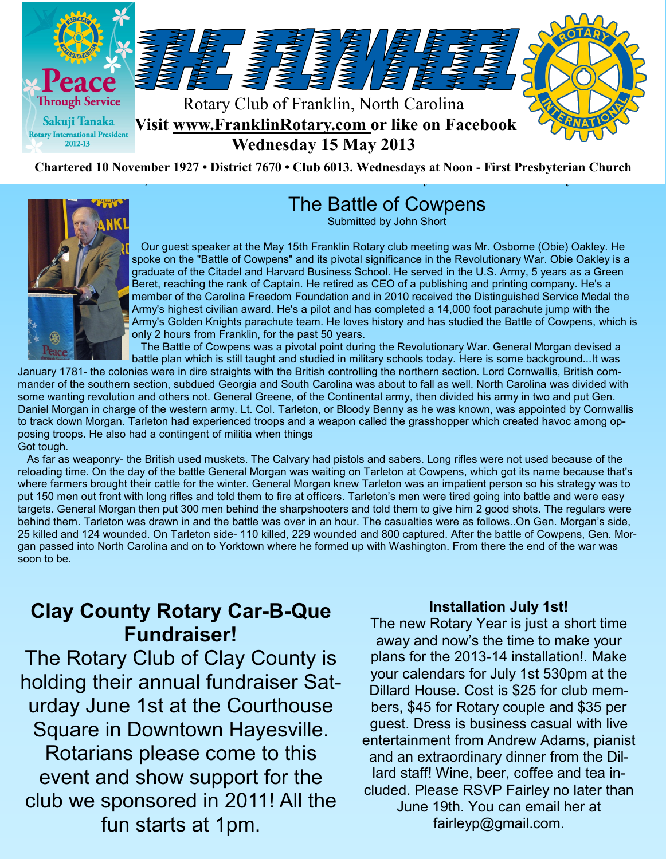



# The Battle of Cowpens

Submitted by John Short

 Our guest speaker at the May 15th Franklin Rotary club meeting was Mr. Osborne (Obie) Oakley. He spoke on the "Battle of Cowpens" and its pivotal significance in the Revolutionary War. Obie Oakley is a graduate of the Citadel and Harvard Business School. He served in the U.S. Army, 5 years as a Green Beret, reaching the rank of Captain. He retired as CEO of a publishing and printing company. He's a member of the Carolina Freedom Foundation and in 2010 received the Distinguished Service Medal the Army's highest civilian award. He's a pilot and has completed a 14,000 foot parachute jump with the Army's Golden Knights parachute team. He loves history and has studied the Battle of Cowpens, which is only 2 hours from Franklin, for the past 50 years.

 The Battle of Cowpens was a pivotal point during the Revolutionary War. General Morgan devised a battle plan which is still taught and studied in military schools today. Here is some background...It was

January 1781- the colonies were in dire straights with the British controlling the northern section. Lord Cornwallis, British commander of the southern section, subdued Georgia and South Carolina was about to fall as well. North Carolina was divided with some wanting revolution and others not. General Greene, of the Continental army, then divided his army in two and put Gen. Daniel Morgan in charge of the western army. Lt. Col. Tarleton, or Bloody Benny as he was known, was appointed by Cornwallis to track down Morgan. Tarleton had experienced troops and a weapon called the grasshopper which created havoc among opposing troops. He also had a contingent of militia when things Got tough.

 As far as weaponry- the British used muskets. The Calvary had pistols and sabers. Long rifles were not used because of the reloading time. On the day of the battle General Morgan was waiting on Tarleton at Cowpens, which got its name because that's where farmers brought their cattle for the winter. General Morgan knew Tarleton was an impatient person so his strategy was to put 150 men out front with long rifles and told them to fire at officers. Tarleton's men were tired going into battle and were easy targets. General Morgan then put 300 men behind the sharpshooters and told them to give him 2 good shots. The regulars were behind them. Tarleton was drawn in and the battle was over in an hour. The casualties were as follows..On Gen. Morgan's side, 25 killed and 124 wounded. On Tarleton side- 110 killed, 229 wounded and 800 captured. After the battle of Cowpens, Gen. Morgan passed into North Carolina and on to Yorktown where he formed up with Washington. From there the end of the war was soon to be.

# **Clay County Rotary Car-B-Que Fundraiser!**

The Rotary Club of Clay County is holding their annual fundraiser Saturday June 1st at the Courthouse Square in Downtown Hayesville. Rotarians please come to this event and show support for the club we sponsored in 2011! All the fun starts at 1pm.

#### **Installation July 1st!**

The new Rotary Year is just a short time away and now's the time to make your plans for the 2013-14 installation!. Make your calendars for July 1st 530pm at the Dillard House. Cost is \$25 for club members, \$45 for Rotary couple and \$35 per guest. Dress is business casual with live entertainment from Andrew Adams, pianist and an extraordinary dinner from the Dillard staff! Wine, beer, coffee and tea included. Please RSVP Fairley no later than June 19th. You can email her at fairleyp@gmail.com.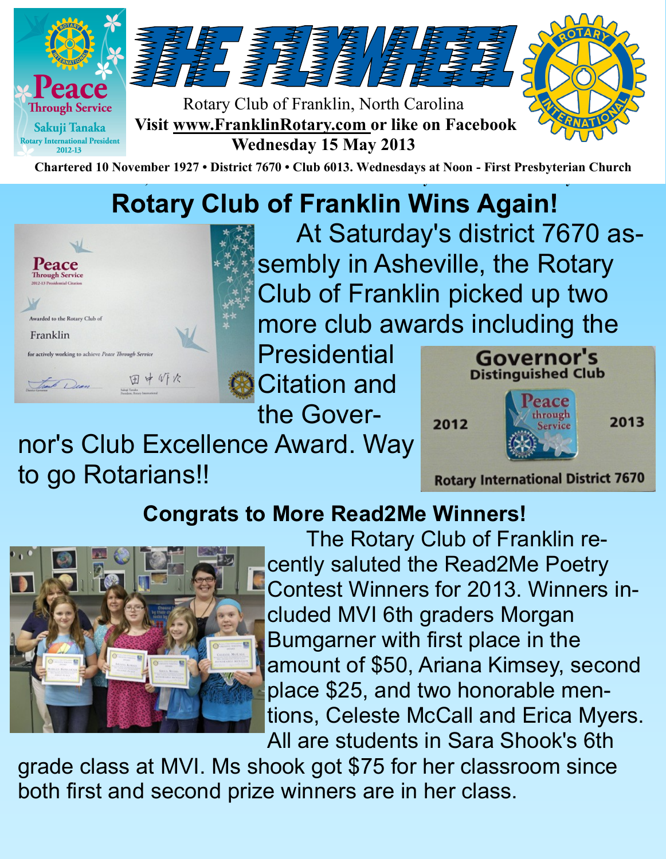

# **Rotary Club of Franklin Wins Again!**



At Saturday's district 7670 assembly in Asheville, the Rotary Club of Franklin picked up two more club awards including the

**Presidential** Citation and the Gover-

nor's Club Excellence Award. Way to go Rotarians!!



# **Congrats to More Read2Me Winners!**



The Rotary Club of Franklin recently saluted the Read2Me Poetry Contest Winners for 2013. Winners included MVI 6th graders Morgan Bumgarner with first place in the amount of \$50, Ariana Kimsey, second place \$25, and two honorable mentions, Celeste McCall and Erica Myers. All are students in Sara Shook's 6th

grade class at MVI. Ms shook got \$75 for her classroom since both first and second prize winners are in her class.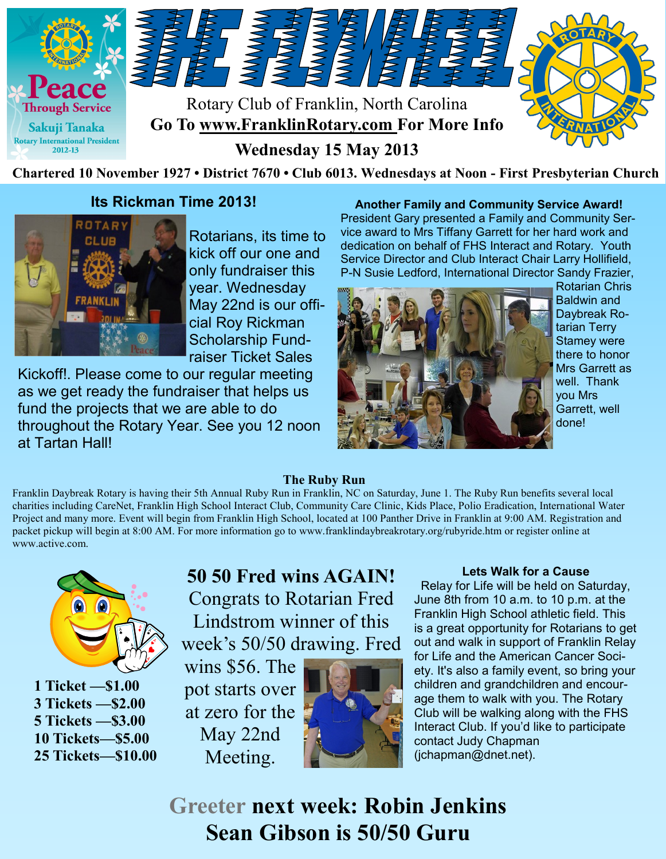

### **Its Rickman Time 2013!**



Rotarians, its time to kick off our one and only fundraiser this year. Wednesday May 22nd is our official Roy Rickman Scholarship Fundraiser Ticket Sales

Kickoff!. Please come to our regular meeting as we get ready the fundraiser that helps us fund the projects that we are able to do throughout the Rotary Year. See you 12 noon at Tartan Hall!

#### **Another Family and Community Service Award!**

President Gary presented a Family and Community Service award to Mrs Tiffany Garrett for her hard work and dedication on behalf of FHS Interact and Rotary. Youth Service Director and Club Interact Chair Larry Hollifield, P-N Susie Ledford, International Director Sandy Frazier,



Rotarian Chris Baldwin and Daybreak Rotarian Terry Stamey were there to honor Mrs Garrett as well. Thank you Mrs Garrett, well done!

#### **The Ruby Run**

Franklin Daybreak Rotary is having their 5th Annual Ruby Run in Franklin, NC on Saturday, June 1. The Ruby Run benefits several local charities including CareNet, Franklin High School Interact Club, Community Care Clinic, Kids Place, Polio Eradication, International Water Project and many more. Event will begin from Franklin High School, located at 100 Panther Drive in Franklin at 9:00 AM. Registration and packet pickup will begin at 8:00 AM. For more information go to www.franklindaybreakrotary.org/rubyride.htm or register online at www.active.com.



**1 Ticket —\$1.00 3 Tickets —\$2.00 5 Tickets —\$3.00 10 Tickets—\$5.00 25 Tickets—\$10.00**

**50 50 Fred wins AGAIN!** Congrats to Rotarian Fred Lindstrom winner of this week's 50/50 drawing. Fred

wins \$56. The pot starts over at zero for the May 22nd Meeting.



#### **Lets Walk for a Cause**

 Relay for Life will be held on Saturday, June 8th from 10 a.m. to 10 p.m. at the Franklin High School athletic field. This is a great opportunity for Rotarians to get out and walk in support of Franklin Relay for Life and the American Cancer Society. It's also a family event, so bring your children and grandchildren and encourage them to walk with you. The Rotary Club will be walking along with the FHS Interact Club. If you'd like to participate contact Judy Chapman (jchapman@dnet.net).

**Greeter next week: Robin Jenkins Sean Gibson is 50/50 Guru**